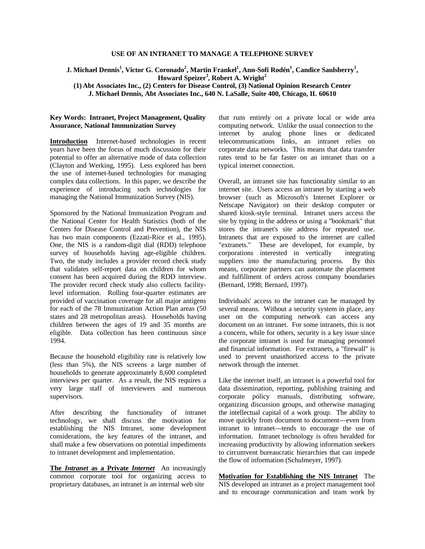## **USE OF AN INTRANET TO MANAGE A TELEPHONE SURVEY**

**J.** Michael Dennis<sup>1</sup>, Victor G. Coronado<sup>2</sup>, Martin Frankel<sup>1</sup>, Ann-Sofi Rodén<sup>1</sup>, Candice Saulsberry<sup>1</sup>,

**Howard Speizer3 , Robert A. Wright2** 

**(1) Abt Associates Inc., (2) Centers for Disease Control, (3) National Opinion Research Center J. Michael Dennis, Abt Associates Inc., 640 N. LaSalle, Suite 400, Chicago, IL 60610** 

## **Key Words: Intranet, Project Management, Quality Assurance, National Immunization Survey**

**Introduction** Internet-based technologies in recent years have been the focus of much discussion for their potential to offer an alternative mode of data collection (Clayton and Werking, 1995). Less explored has been the use of internet-based technologies for managing complex data collections. In this paper, we describe the experience of introducing such technologies for managing the National Immunization Survey (NIS).

Sponsored by the National Immunization Program and the National Center for Health Statistics (both of the Centers for Disease Control and Prevention), the NIS has two main components (Ezzati-Rice et al., 1995). One, the NIS is a random-digit dial (RDD) telephone survey of households having age-eligible children. Two, the study includes a provider record check study that validates self-report data on children for whom consent has been acquired during the RDD interview. The provider record check study also collects facilitylevel information. Rolling four-quarter estimates are provided of vaccination coverage for all major antigens for each of the 78 Immunization Action Plan areas (50 states and 28 metropolitan areas). Households having children between the ages of 19 and 35 months are eligible. Data collection has been continuous since 1994.

Because the household eligibility rate is relatively low (less than 5%), the NIS screens a large number of households to generate approximately 8,600 completed interviews per quarter. As a result, the NIS requires a very large staff of interviewers and numerous supervisors.

After describing the functionality of intranet technology, we shall discuss the motivation for establishing the NIS Intranet, some development considerations, the key features of the intranet, and shall make a few observations on potential impediments to intranet development and implementation.

**The** *Intranet* **as a Private** *Internet* An increasingly common corporate tool for organizing access to proprietary databases, an intranet is an internal web site

that runs entirely on a private local or wide area computing network. Unlike the usual connection to the internet by analog phone lines or dedicated telecommunications links, an intranet relies on corporate data networks. This means that data transfer rates tend to be far faster on an intranet than on a typical internet connection.

Overall, an intranet site has functionality similar to an internet site. Users access an intranet by starting a web browser (such as Microsoft's Internet Explorer or Netscape Navigator) on their desktop computer or shared kiosk-style terminal. Intranet users access the site by typing in the address or using a "bookmark" that stores the intranet's site address for repeated use. Intranets that are exposed to the internet are called "extranets." These are developed, for example, by corporations interested in vertically integrating suppliers into the manufacturing process. By this means, corporate partners can automate the placement and fulfillment of orders across company boundaries (Bernard, 1998; Bernard, 1997).

Individuals' access to the intranet can be managed by several means. Without a security system in place, any user on the computing network can access any document on an intranet. For some intranets, this is not a concern, while for others, security is a key issue since the corporate intranet is used for managing personnel and financial information. For extranets, a "firewall" is used to prevent unauthorized access to the private network through the internet.

Like the internet itself, an intranet is a powerful tool for data dissemination, reporting, publishing training and corporate policy manuals, distributing software, organizing discussion groups, and otherwise managing the intellectual capital of a work group. The ability to move quickly from document to document—even from intranet to intranet—tends to encourage the use of information. Intranet technology is often heralded for increasing productivity by allowing information seekers to circumvent bureaucratic hierarchies that can impede the flow of information (Schulmeyer, 1997).

**Motivation for Establishing the NIS Intranet** The NIS developed an intranet as a project management tool and to encourage communication and team work by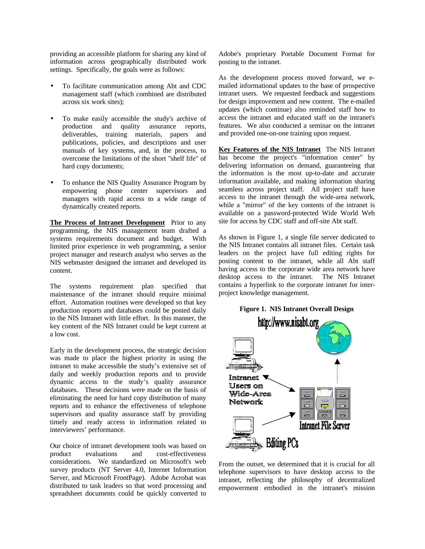providing an accessible platform for sharing any kind of information across geographically distributed work settings. Specifically, the goals were as follows:

- To facilitate communication among Abt and CDC management staff (which combined are distributed across six work sites);
- To make easily accessible the study's archive of production and quality assurance reports, deliverables, training materials, papers and publications, policies, and descriptions and user manuals of key systems, and, in the process, to overcome the limitations of the short "shelf life" of hard copy documents;
- To enhance the NIS Quality Assurance Program by empowering phone center supervisors and managers with rapid access to a wide range of dynamically created reports.

**The Process of Intranet Development** Prior to any programming, the NIS management team drafted a systems requirements document and budget. With limited prior experience in web programming, a senior project manager and research analyst who serves as the NIS webmaster designed the intranet and developed its content.

The systems requirement plan specified that maintenance of the intranet should require minimal effort. Automation routines were developed so that key production reports and databases could be posted daily to the NIS Intranet with little effort. In this manner, the key content of the NIS Intranet could be kept current at a low cost.

Early in the development process, the strategic decision was made to place the highest priority in using the intranet to make accessible the study's extensive set of daily and weekly production reports and to provide dynamic access to the study's quality assurance databases. These decisions were made on the basis of eliminating the need for hard copy distribution of many reports and to enhance the effectiveness of telephone supervisors and quality assurance staff by providing timely and ready access to information related to interviewers' performance.

Our choice of intranet development tools was based on product evaluations and cost-effectiveness considerations. We standardized on Microsoft's web survey products (NT Server 4.0, Internet Information Server, and Microsoft FrontPage). Adobe Acrobat was distributed to task leaders so that word processing and spreadsheet documents could be quickly converted to

Adobe's proprietary Portable Document Format for posting to the intranet.

As the development process moved forward, we emailed informational updates to the base of prospective intranet users. We requested feedback and suggestions for design improvement and new content. The e-mailed updates (which continue) also reminded staff how to access the intranet and educated staff on the intranet's features. We also conducted a seminar on the intranet and provided one-on-one training upon request.

**Key Features of the NIS Intranet** The NIS Intranet has become the project's "information center" by delivering information on demand, guaranteeing that the information is the most up-to-date and accurate information available, and making information sharing seamless across project staff. All project staff have access to the intranet through the wide-area network, while a "mirror" of the key contents of the intranet is available on a password-protected Wide World Web site for access by CDC staff and off-site Abt staff.

As shown in Figure 1, a single file server dedicated to the NIS Intranet contains all intranet files. Certain task leaders on the project have full editing rights for posting content to the intranet, while all Abt staff having access to the corporate wide area network have desktop access to the intranet. The NIS Intranet contains a hyperlink to the corporate intranet for interproject knowledge management.



From the outset, we determined that it is crucial for all telephone supervisors to have desktop access to the intranet, reflecting the philosophy of decentralized empowerment embodied in the intranet's mission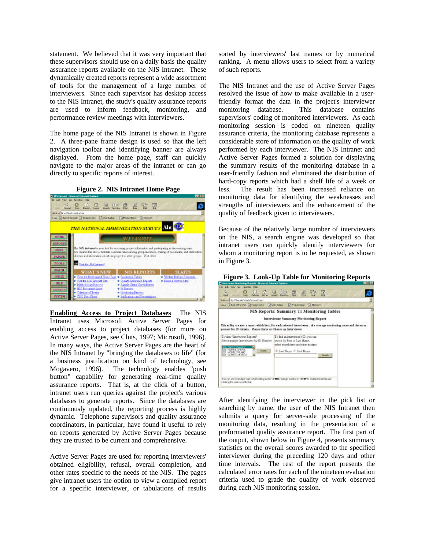statement. We believed that it was very important that these supervisors should use on a daily basis the quality assurance reports available on the NIS Intranet. These dynamically created reports represent a wide assortment of tools for the management of a large number of interviewers. Since each supervisor has desktop access to the NIS Intranet, the study's quality assurance reports are used to inform feedback, monitoring, and performance review meetings with interviewers.

The home page of the NIS Intranet is shown in Figure 2. A three-pane frame design is used so that the left navigation toolbar and identifying banner are always displayed. From the home page, staff can quickly navigate to the major areas of the intranet or can go directly to specific reports of interest.



**Enabling Access to Project Databases** The NIS Intranet uses Microsoft Active Server Pages for enabling access to project databases (for more on Active Server Pages, see Cluts, 1997; Microsoft, 1996). In many ways, the Active Server Pages are the heart of the NIS Intranet by "bringing the databases to life" (for a business justification on kind of technology, see Mogavero, 1996). The technology enables "push button" capability for generating real-time quality assurance reports. That is, at the click of a button, intranet users run queries against the project's various databases to generate reports. Since the databases are continuously updated, the reporting process is highly dynamic. Telephone supervisors and quality assurance coordinators, in particular, have found it useful to rely on reports generated by Active Server Pages because they are trusted to be current and comprehensive.

Active Server Pages are used for reporting interviewers' obtained eligibility, refusal, overall completion, and other rates specific to the needs of the NIS. The pages give intranet users the option to view a compiled report for a specific interviewer, or tabulations of results

sorted by interviewers' last names or by numerical ranking. A menu allows users to select from a variety of such reports.

The NIS Intranet and the use of Active Server Pages resolved the issue of how to make available in a userfriendly format the data in the project's interviewer monitoring database. This database contains supervisors' coding of monitored interviewers. As each monitoring session is coded on nineteen quality assurance criteria, the monitoring database represents a considerable store of information on the quality of work performed by each interviewer. The NIS Intranet and Active Server Pages formed a solution for displaying the summary results of the monitoring database in a user-friendly fashion and eliminated the distribution of hard-copy reports which had a shelf life of a week or less. The result has been increased reliance on monitoring data for identifying the weaknesses and strengths of interviewers and the enhancement of the quality of feedback given to interviewers.

Because of the relatively large number of interviewers on the NIS, a search engine was developed so that intranet users can quickly identify interviewers for whom a monitoring report is to be requested, as shown in Figure 3.

| D Interviewer Monitoring Reports - Microsoft Internet Explorer          |                                                                                                                                                                                                                   | 開閉院 |
|-------------------------------------------------------------------------|-------------------------------------------------------------------------------------------------------------------------------------------------------------------------------------------------------------------|-----|
| Ele Edi View (a) Tavorino Hills-                                        |                                                                                                                                                                                                                   |     |
| ÷<br>$\mathbf{C}$<br><b>Daub</b>                                        | <b>A 2 4 2 4 2 2</b>                                                                                                                                                                                              |     |
| Address Pitz / West No angle a reader                                   |                                                                                                                                                                                                                   |     |
| Like R Not if fly Video City College District College R News 12 News1   |                                                                                                                                                                                                                   |     |
| persont far 19 reitoria. Floase Enter ar Choose as Interviewer          | NIS Reports: Summary TI Monitoring Tables<br><b>Interviewer Summary Monitoring Report</b><br>This utility creates a report which lists, for each selected interviewer. the average maxitaring score and the error |     |
| To view "Interviewic Reports"                                           | To find an intervarient's ID, you can                                                                                                                                                                             |     |
| Select matrixle listenessed by ID Number. Search by First or Last Nume. |                                                                                                                                                                                                                   |     |
|                                                                         | solent sourch type and exter in name.                                                                                                                                                                             |     |
| School:                                                                 | <b>E. Last Name: C. Fant Name</b>                                                                                                                                                                                 |     |
| <b>LENGTH LATERAL</b>                                                   | <b>SAMO</b>                                                                                                                                                                                                       |     |
|                                                                         |                                                                                                                                                                                                                   |     |
|                                                                         |                                                                                                                                                                                                                   |     |
| obrience for names on the lot.                                          | Fore non select mailing restars by broking down <cthl> (stude natural as <bhuvd cad.<="" institution="" range)="" td=""><td></td></bhuvd></cthl>                                                                  |     |
|                                                                         |                                                                                                                                                                                                                   |     |

**Figure 3. Look-Up Table for Monitoring Reports** 

After identifying the interviewer in the pick list or searching by name, the user of the NIS Intranet then submits a query for server-side processing of the monitoring data, resulting in the presentation of a preformatted quality assurance report. The first part of the output, shown below in Figure 4, presents summary statistics on the overall scores awarded to the specified interviewer during the preceding 120 days and other time intervals. The rest of the report presents the calculated error rates for each of the nineteen evaluation criteria used to grade the quality of work observed during each NIS monitoring session.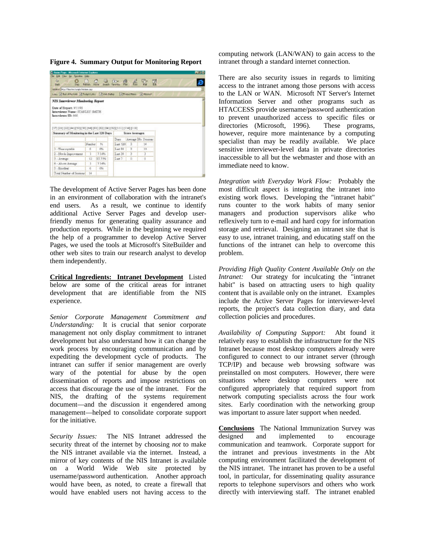**Figure 4. Summary Output for Monitoring Report** 

| Figure Pages - Microsoft Internet Explorer                                                                                                    |          |                        |              |    |                      | 開閉局 |
|-----------------------------------------------------------------------------------------------------------------------------------------------|----------|------------------------|--------------|----|----------------------|-----|
| Lik you is from the                                                                                                                           |          |                        |              |    |                      |     |
| ÷<br><b>Gradt</b>                                                                                                                             | Ф        | $\mathbb{C}$<br>G (4)* |              |    | 앞 뎧                  |     |
| Address Pitz / Yhm Into Sengto Winters and                                                                                                    |          |                        |              |    |                      |     |
| Like R Not introlled R Teden Like   Three Early   Three children   Z Hoover                                                                   |          |                        |              |    |                      |     |
| NIS Imerviewer Menharing Report                                                                                                               |          |                        |              |    |                      |     |
| Interviewer Name: STANLEY SMITH.<br>Interviewer ID: 000<br>[17] [20] [22] [44] [30] [30] [44] [81] [82] [84] [32] [14] [32] [111] [114] [110] |          |                        |              |    |                      |     |
| Summary of Monitoring in the Last 120 Days                                                                                                    |          | <b>SCORE ANETHERS</b>  |              |    |                      |     |
|                                                                                                                                               |          |                        | Dars         |    | Ascrage No. Sessions |     |
|                                                                                                                                               | Number   | 56                     | Last 120     | B  | 14                   |     |
| 7 - Uniconoptable                                                                                                                             | a        | 0%                     | $T_0$ e 90   | ×  | 10                   |     |
|                                                                                                                                               | 1        | 7.14%                  | $l$ ash $30$ | -3 | 3                    |     |
| 2 - Nondo Improvementi                                                                                                                        |          |                        |              |    |                      |     |
| - Arrivage                                                                                                                                    | $-12$    | 85.71%                 | lat )        | f) | <b>O</b>             |     |
| spann A stock - R                                                                                                                             | з        | T.1486                 |              |    |                      |     |
| 3 - Emellest                                                                                                                                  | $\alpha$ | 0%                     |              |    |                      |     |

The development of Active Server Pages has been done in an environment of collaboration with the intranet's end users. As a result, we continue to identify additional Active Server Pages and develop userfriendly menus for generating quality assurance and production reports. While in the beginning we required the help of a programmer to develop Active Server Pages, we used the tools at Microsoft's SiteBuilder and other web sites to train our research analyst to develop them independently.

**Critical Ingredients: Intranet Development** Listed below are some of the critical areas for intranet development that are identifiable from the NIS experience.

*Senior Corporate Management Commitment and Understanding:* It is crucial that senior corporate management not only display commitment to intranet development but also understand how it can change the work process by encouraging communication and by expediting the development cycle of products. The intranet can suffer if senior management are overly wary of the potential for abuse by the open dissemination of reports and impose restrictions on access that discourage the use of the intranet. For the NIS, the drafting of the systems requirement document—and the discussion it engendered among management—helped to consolidate corporate support for the initiative.

*Security Issues:* The NIS Intranet addressed the security threat of the internet by choosing *not* to make the NIS intranet available via the internet. Instead, a mirror of key contents of the NIS Intranet is available on a World Wide Web site protected by username/password authentication. Another approach would have been, as noted, to create a firewall that would have enabled users not having access to the computing network (LAN/WAN) to gain access to the intranet through a standard internet connection.

There are also security issues in regards to limiting access to the intranet among those persons with access to the LAN or WAN. Microsoft NT Server's Internet Information Server and other programs such as HTACCESS provide username/password authentication to prevent unauthorized access to specific files or directories (Microsoft, 1996). These programs, directories (Microsoft, 1996). however, require more maintenance by a computing specialist than may be readily available. We place sensitive interviewer-level data in private directories inaccessible to all but the webmaster and those with an immediate need to know.

*Integration with Everyday Work Flow:* Probably the most difficult aspect is integrating the intranet into existing work flows. Developing the "intranet habit" runs counter to the work habits of many senior managers and production supervisors alike who reflexively turn to e-mail and hard copy for information storage and retrieval. Designing an intranet site that is easy to use, intranet training, and educating staff on the functions of the intranet can help to overcome this problem.

*Providing High Quality Content Available Only on the Intranet:* Our strategy for inculcating the "intranet habit" is based on attracting users to high quality content that is available only on the intranet. Examples include the Active Server Pages for interviewer-level reports, the project's data collection diary, and data collection policies and procedures.

*Availability of Computing Support:* Abt found it relatively easy to establish the infrastructure for the NIS Intranet because most desktop computers already were configured to connect to our intranet server (through TCP/IP) and because web browsing software was preinstalled on most computers. However, there were situations where desktop computers were not configured appropriately that required support from network computing specialists across the four work sites. Early coordination with the networking group was important to assure later support when needed.

**Conclusions** The National Immunization Survey was designed and implemented to encourage communication and teamwork. Corporate support for the intranet and previous investments in the Abt computing environment facilitated the development of the NIS intranet. The intranet has proven to be a useful tool, in particular, for disseminating quality assurance reports to telephone supervisors and others who work directly with interviewing staff. The intranet enabled